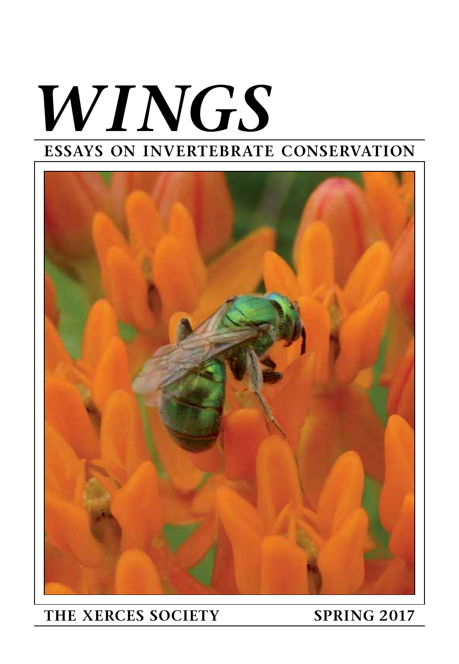# *WINGS* **ESSAYS ON INVERTEBRATE CONSERVATION**



### **THE XERCES SOCIETY SPRING 2017**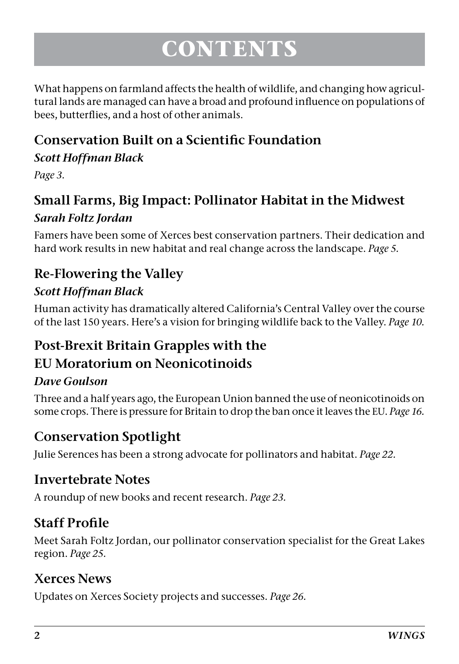## **CONTENTS**

What happens on farmland affects the health of wildlife, and changing how agricultural lands are managed can have a broad and profound influence on populations of bees, butterflies, and a host of other animals.

#### **Conservation Built on a Scientific Foundation** *Scott Hoffman Black*

*Page 3.*

#### **Small Farms, Big Impact: Pollinator Habitat in the Midwest** *Sarah Foltz Jordan*

Famers have been some of Xerces best conservation partners. Their dedication and hard work results in new habitat and real change across the landscape. *Page 5.*

#### **Re-Flowering the Valley**

#### *Scott Hoffman Black*

Human activity has dramatically altered California's Central Valley over the course of the last 150 years. Here's a vision for bringing wildlife back to the Valley. *Page 10.*

### **Post-Brexit Britain Grapples with the**

#### **EU Moratorium on Neonicotinoids**

#### *Dave Goulson*

Three and a half years ago, the European Union banned the use of neonicotinoids on some crops. There is pressure for Britain to drop the ban once it leaves the EU. *Page 16.*

#### **Conservation Spotlight**

Julie Serences has been a strong advocate for pollinators and habitat. *Page 22.*

#### **Invertebrate Notes**

A roundup of new books and recent research. *Page 23.*

#### **Staff Profile**

Meet Sarah Foltz Jordan, our pollinator conservation specialist for the Great Lakes region. *Page 25.*

#### **Xerces News**

Updates on Xerces Society projects and successes. *Page 26.*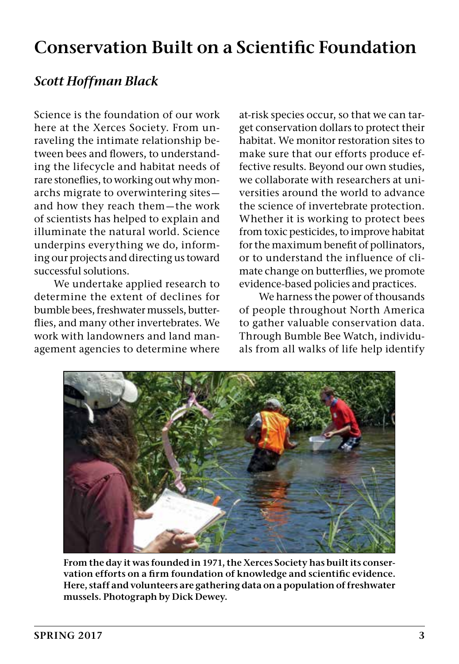### **Conservation Built on a Scientific Foundation**

#### *Scott Hoffman Black*

Science is the foundation of our work here at the Xerces Society. From unraveling the intimate relationship between bees and flowers, to understanding the lifecycle and habitat needs of rare stoneflies, to working out why monarchs migrate to overwintering sites and how they reach them—the work of scientists has helped to explain and illuminate the natural world. Science underpins everything we do, informing our projects and directing us toward successful solutions.

We undertake applied research to determine the extent of declines for bumble bees, freshwater mussels, butterflies, and many other invertebrates. We work with landowners and land management agencies to determine where at-risk species occur, so that we can target conservation dollars to protect their habitat. We monitor restoration sites to make sure that our efforts produce effective results. Beyond our own studies, we collaborate with researchers at universities around the world to advance the science of invertebrate protection. Whether it is working to protect bees from toxic pesticides, to improve habitat for the maximum benefit of pollinators, or to understand the influence of climate change on butterflies, we promote evidence-based policies and practices.

We harness the power of thousands of people throughout North America to gather valuable conservation data. Through Bumble Bee Watch, individuals from all walks of life help identify



**From the day it was founded in 1971, the Xerces Society has built its conservation efforts on a firm foundation of knowledge and scientific evidence. Here, staff and volunteers are gathering data on a population of freshwater mussels. Photograph by Dick Dewey.**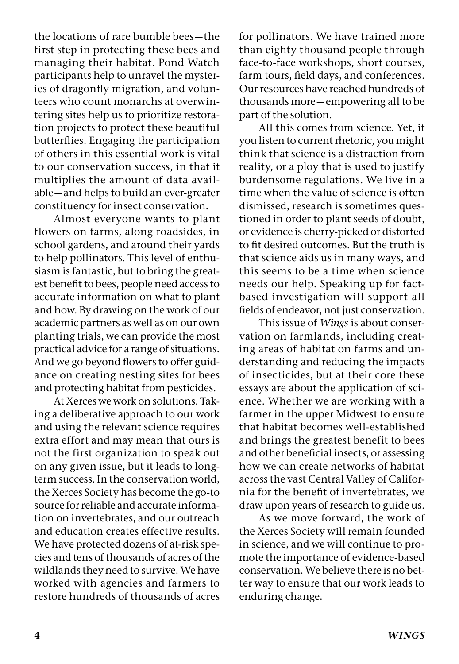the locations of rare bumble bees—the first step in protecting these bees and managing their habitat. Pond Watch participants help to unravel the mysteries of dragonfly migration, and volunteers who count monarchs at overwintering sites help us to prioritize restoration projects to protect these beautiful butterflies. Engaging the participation of others in this essential work is vital to our conservation success, in that it multiplies the amount of data available—and helps to build an ever-greater constituency for insect conservation.

Almost everyone wants to plant flowers on farms, along roadsides, in school gardens, and around their yards to help pollinators. This level of enthusiasm is fantastic, but to bring the greatest benefit to bees, people need access to accurate information on what to plant and how. By drawing on the work of our academic partners as well as on our own planting trials, we can provide the most practical advice for a range of situations. And we go beyond flowers to offer guidance on creating nesting sites for bees and protecting habitat from pesticides.

At Xerces we work on solutions. Taking a deliberative approach to our work and using the relevant science requires extra effort and may mean that ours is not the first organization to speak out on any given issue, but it leads to longterm success. In the conservation world, the Xerces Society has become the go-to source for reliable and accurate information on invertebrates, and our outreach and education creates effective results. We have protected dozens of at-risk species and tens of thousands of acres of the wildlands they need to survive. We have worked with agencies and farmers to restore hundreds of thousands of acres for pollinators. We have trained more than eighty thousand people through face-to-face workshops, short courses, farm tours, field days, and conferences. Our resources have reached hundreds of thousands more—empowering all to be part of the solution.

All this comes from science. Yet, if you listen to current rhetoric, you might think that science is a distraction from reality, or a ploy that is used to justify burdensome regulations. We live in a time when the value of science is often dismissed, research is sometimes questioned in order to plant seeds of doubt, or evidence is cherry-picked or distorted to fit desired outcomes. But the truth is that science aids us in many ways, and this seems to be a time when science needs our help. Speaking up for factbased investigation will support all fields of endeavor, not just conservation.

This issue of *Wings* is about conservation on farmlands, including creating areas of habitat on farms and understanding and reducing the impacts of insecticides, but at their core these essays are about the application of science. Whether we are working with a farmer in the upper Midwest to ensure that habitat becomes well-established and brings the greatest benefit to bees and other beneficial insects, or assessing how we can create networks of habitat across the vast Central Valley of California for the benefit of invertebrates, we draw upon years of research to guide us.

As we move forward, the work of the Xerces Society will remain founded in science, and we will continue to promote the importance of evidence-based conservation. We believe there is no better way to ensure that our work leads to enduring change.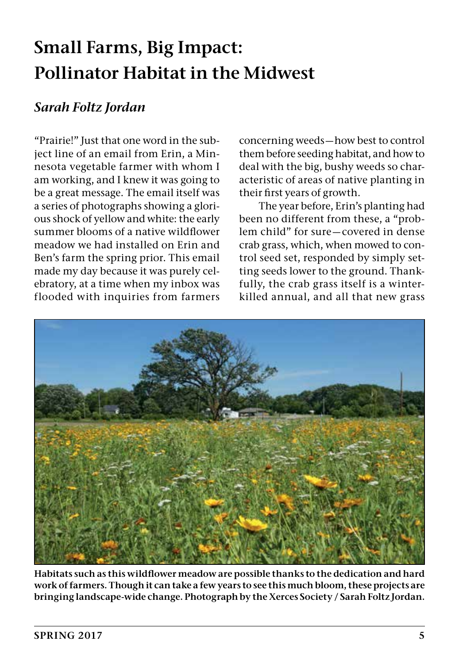### **Small Farms, Big Impact: Pollinator Habitat in the Midwest**

#### *Sarah Foltz Jordan*

"Prairie!" Just that one word in the subject line of an email from Erin, a Minnesota vegetable farmer with whom I am working, and I knew it was going to be a great message. The email itself was a series of photographs showing a glorious shock of yellow and white: the early summer blooms of a native wildflower meadow we had installed on Erin and Ben's farm the spring prior. This email made my day because it was purely celebratory, at a time when my inbox was flooded with inquiries from farmers

concerning weeds—how best to control them before seeding habitat, and how to deal with the big, bushy weeds so characteristic of areas of native planting in their first years of growth.

The year before, Erin's planting had been no different from these, a "problem child" for sure—covered in dense crab grass, which, when mowed to control seed set, responded by simply setting seeds lower to the ground. Thankfully, the crab grass itself is a winterkilled annual, and all that new grass



**Habitats such as this wildflower meadow are possible thanks to the dedication and hard work of farmers. Though it can take a few years to see this much bloom, these projects are bringing landscape-wide change. Photograph by the Xerces Society / Sarah Foltz Jordan.**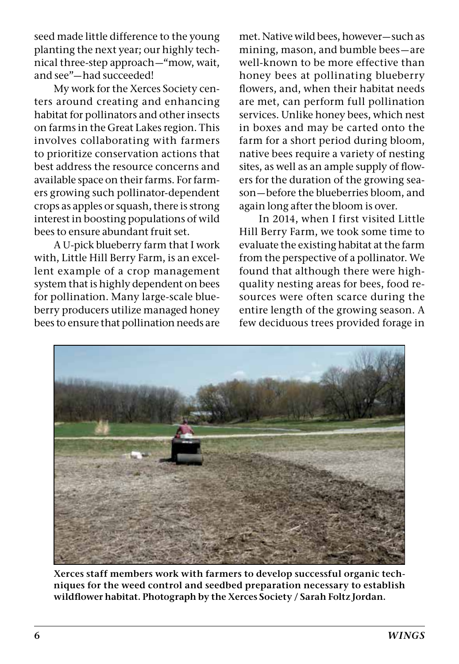seed made little difference to the young planting the next year; our highly technical three-step approach—"mow, wait, and see"—had succeeded!

My work for the Xerces Society centers around creating and enhancing habitat for pollinators and other insects on farms in the Great Lakes region. This involves collaborating with farmers to prioritize conservation actions that best address the resource concerns and available space on their farms. For farmers growing such pollinator-dependent crops as apples or squash, there is strong interest in boosting populations of wild bees to ensure abundant fruit set.

A U-pick blueberry farm that I work with, Little Hill Berry Farm, is an excellent example of a crop management system that is highly dependent on bees for pollination. Many large-scale blueberry producers utilize managed honey bees to ensure that pollination needs are

met. Native wild bees, however—such as mining, mason, and bumble bees—are well-known to be more effective than honey bees at pollinating blueberry flowers, and, when their habitat needs are met, can perform full pollination services. Unlike honey bees, which nest in boxes and may be carted onto the farm for a short period during bloom, native bees require a variety of nesting sites, as well as an ample supply of flowers for the duration of the growing season—before the blueberries bloom, and again long after the bloom is over.

In 2014, when I first visited Little Hill Berry Farm, we took some time to evaluate the existing habitat at the farm from the perspective of a pollinator. We found that although there were highquality nesting areas for bees, food resources were often scarce during the entire length of the growing season. A few deciduous trees provided forage in



**Xerces staff members work with farmers to develop successful organic techniques for the weed control and seedbed preparation necessary to establish wildflower habitat. Photograph by the Xerces Society / Sarah Foltz Jordan.**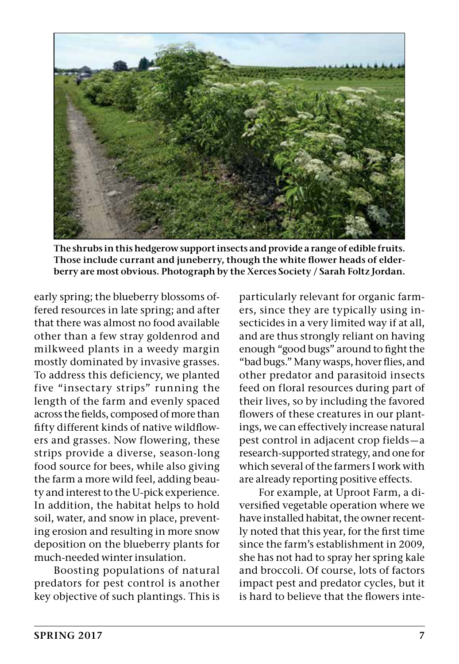

**The shrubs in this hedgerow support insects and provide a range of edible fruits. Those include currant and juneberry, though the white flower heads of elderberry are most obvious. Photograph by the Xerces Society / Sarah Foltz Jordan.**

early spring; the blueberry blossoms offered resources in late spring; and after that there was almost no food available other than a few stray goldenrod and milkweed plants in a weedy margin mostly dominated by invasive grasses. To address this deficiency, we planted five "insectary strips" running the length of the farm and evenly spaced across the fields, composed of more than fifty different kinds of native wildflowers and grasses. Now flowering, these strips provide a diverse, season-long food source for bees, while also giving the farm a more wild feel, adding beauty and interest to the U-pick experience. In addition, the habitat helps to hold soil, water, and snow in place, preventing erosion and resulting in more snow deposition on the blueberry plants for much-needed winter insulation.

Boosting populations of natural predators for pest control is another key objective of such plantings. This is

particularly relevant for organic farmers, since they are typically using insecticides in a very limited way if at all, and are thus strongly reliant on having enough "good bugs" around to fight the "bad bugs." Many wasps, hover flies, and other predator and parasitoid insects feed on floral resources during part of their lives, so by including the favored flowers of these creatures in our plantings, we can effectively increase natural pest control in adjacent crop fields—a research-supported strategy, and one for which several of the farmers I work with are already reporting positive effects.

For example, at Uproot Farm, a diversified vegetable operation where we have installed habitat, the owner recently noted that this year, for the first time since the farm's establishment in 2009, she has not had to spray her spring kale and broccoli. Of course, lots of factors impact pest and predator cycles, but it is hard to believe that the flowers inte-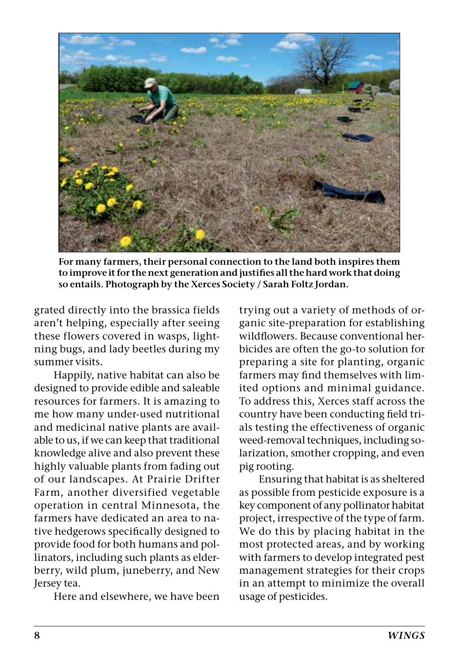

**For many farmers, their personal connection to the land both inspires them to improve it for the next generation and justifies all the hard work that doing so entails. Photograph by the Xerces Society / Sarah Foltz Jordan.**

grated directly into the brassica fields aren't helping, especially after seeing these flowers covered in wasps, lightning bugs, and lady beetles during my summer visits.

Happily, native habitat can also be designed to provide edible and saleable resources for farmers. It is amazing to me how many under-used nutritional and medicinal native plants are available to us, if we can keep that traditional knowledge alive and also prevent these highly valuable plants from fading out of our landscapes. At Prairie Drifter Farm, another diversified vegetable operation in central Minnesota, the farmers have dedicated an area to native hedgerows specifically designed to provide food for both humans and pollinators, including such plants as elderberry, wild plum, juneberry, and New Jersey tea.

Here and elsewhere, we have been

trying out a variety of methods of organic site-preparation for establishing wildflowers. Because conventional herbicides are often the go-to solution for preparing a site for planting, organic farmers may find themselves with limited options and minimal guidance. To address this, Xerces staff across the country have been conducting field trials testing the effectiveness of organic weed-removal techniques, including solarization, smother cropping, and even pig rooting.

Ensuring that habitat is as sheltered as possible from pesticide exposure is a key component of any pollinator habitat project, irrespective of the type of farm. We do this by placing habitat in the most protected areas, and by working with farmers to develop integrated pest management strategies for their crops in an attempt to minimize the overall usage of pesticides.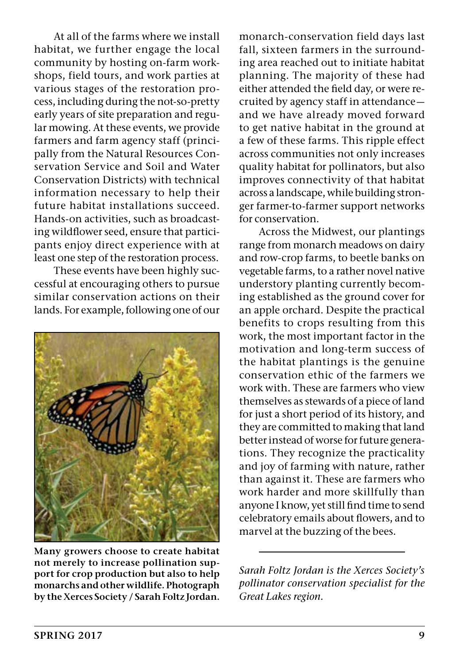At all of the farms where we install habitat, we further engage the local community by hosting on-farm workshops, field tours, and work parties at various stages of the restoration process, including during the not-so-pretty early years of site preparation and regular mowing. At these events, we provide farmers and farm agency staff (principally from the Natural Resources Conservation Service and Soil and Water Conservation Districts) with technical information necessary to help their future habitat installations succeed. Hands-on activities, such as broadcasting wildflower seed, ensure that participants enjoy direct experience with at least one step of the restoration process.

These events have been highly successful at encouraging others to pursue similar conservation actions on their lands. For example, following one of our



**Many growers choose to create habitat not merely to increase pollination support for crop production but also to help monarchs and other wildlife. Photograph by the Xerces Society / Sarah Foltz Jordan.**

monarch-conservation field days last fall, sixteen farmers in the surrounding area reached out to initiate habitat planning. The majority of these had either attended the field day, or were recruited by agency staff in attendance and we have already moved forward to get native habitat in the ground at a few of these farms. This ripple effect across communities not only increases quality habitat for pollinators, but also improves connectivity of that habitat across a landscape, while building stronger farmer-to-farmer support networks for conservation.

Across the Midwest, our plantings range from monarch meadows on dairy and row-crop farms, to beetle banks on vegetable farms, to a rather novel native understory planting currently becoming established as the ground cover for an apple orchard. Despite the practical benefits to crops resulting from this work, the most important factor in the motivation and long-term success of the habitat plantings is the genuine conservation ethic of the farmers we work with. These are farmers who view themselves as stewards of a piece of land for just a short period of its history, and they are committed to making that land better instead of worse for future generations. They recognize the practicality and joy of farming with nature, rather than against it. These are farmers who work harder and more skillfully than anyone I know, yet still find time to send celebratory emails about flowers, and to marvel at the buzzing of the bees.

*Sarah Foltz Jordan is the Xerces Society's pollinator conservation specialist for the Great Lakes region.*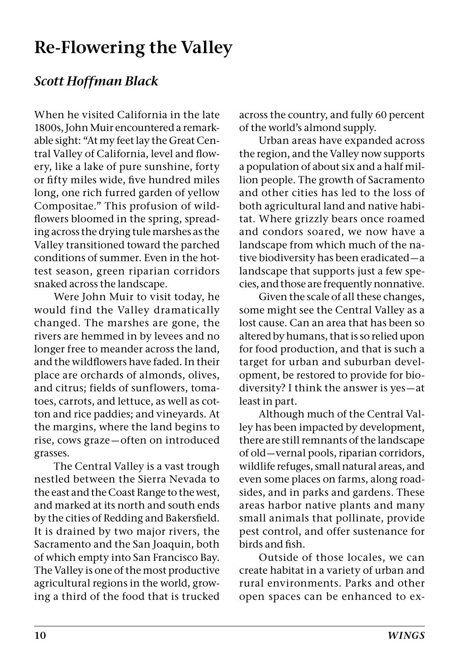### **Re-Flowering the Valley**

#### *Scott Hoffman Black*

When he visited California in the late 1800s, John Muir encountered a remarkable sight: "At my feet lay the Great Central Valley of California, level and flowery, like a lake of pure sunshine, forty or fifty miles wide, five hundred miles long, one rich furred garden of yellow Compositae." This profusion of wildflowers bloomed in the spring, spreading across the drying tule marshes as the Valley transitioned toward the parched conditions of summer. Even in the hottest season, green riparian corridors snaked across the landscape.

Were John Muir to visit today, he would find the Valley dramatically changed. The marshes are gone, the rivers are hemmed in by levees and no longer free to meander across the land, and the wildflowers have faded. In their place are orchards of almonds, olives, and citrus; fields of sunflowers, tomatoes, carrots, and lettuce, as well as cotton and rice paddies; and vineyards. At the margins, where the land begins to rise, cows graze—often on introduced grasses.

The Central Valley is a vast trough nestled between the Sierra Nevada to the east and the Coast Range to the west, and marked at its north and south ends by the cities of Redding and Bakersfield. It is drained by two major rivers, the Sacramento and the San Joaquin, both of which empty into San Francisco Bay. The Valley is one of the most productive agricultural regions in the world, growing a third of the food that is trucked

across the country, and fully 60 percent of the world's almond supply.

Urban areas have expanded across the region, and the Valley now supports a population of about six and a half million people. The growth of Sacramento and other cities has led to the loss of both agricultural land and native habitat. Where grizzly bears once roamed and condors soared, we now have a landscape from which much of the native biodiversity has been eradicated—a landscape that supports just a few species, and those are frequently nonnative.

Given the scale of all these changes, some might see the Central Valley as a lost cause. Can an area that has been so altered by humans, that is so relied upon for food production, and that is such a target for urban and suburban development, be restored to provide for biodiversity? I think the answer is yes—at least in part.

Although much of the Central Valley has been impacted by development, there are still remnants of the landscape of old—vernal pools, riparian corridors, wildlife refuges, small natural areas, and even some places on farms, along roadsides, and in parks and gardens. These areas harbor native plants and many small animals that pollinate, provide pest control, and offer sustenance for birds and fish.

Outside of those locales, we can create habitat in a variety of urban and rural environments. Parks and other open spaces can be enhanced to ex-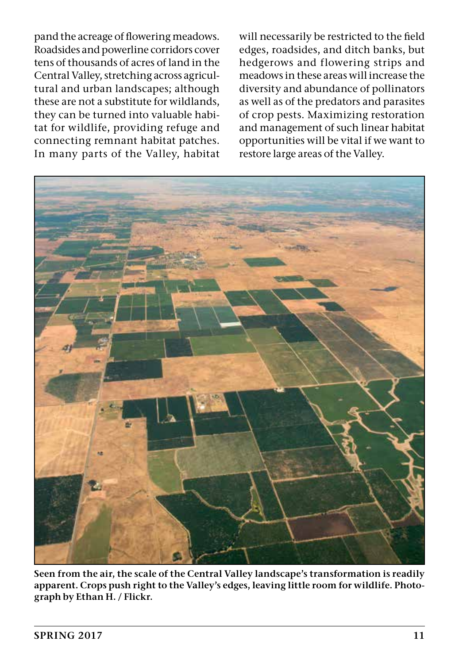pand the acreage of flowering meadows. Roadsides and powerline corridors cover tens of thousands of acres of land in the Central Valley, stretching across agricultural and urban landscapes; although these are not a substitute for wildlands, they can be turned into valuable habitat for wildlife, providing refuge and connecting remnant habitat patches. In many parts of the Valley, habitat

will necessarily be restricted to the field edges, roadsides, and ditch banks, but hedgerows and flowering strips and meadows in these areas will increase the diversity and abundance of pollinators as well as of the predators and parasites of crop pests. Maximizing restoration and management of such linear habitat opportunities will be vital if we want to restore large areas of the Valley.



**Seen from the air, the scale of the Central Valley landscape's transformation is readily apparent. Crops push right to the Valley's edges, leaving little room for wildlife. Photograph by Ethan H. / Flickr.**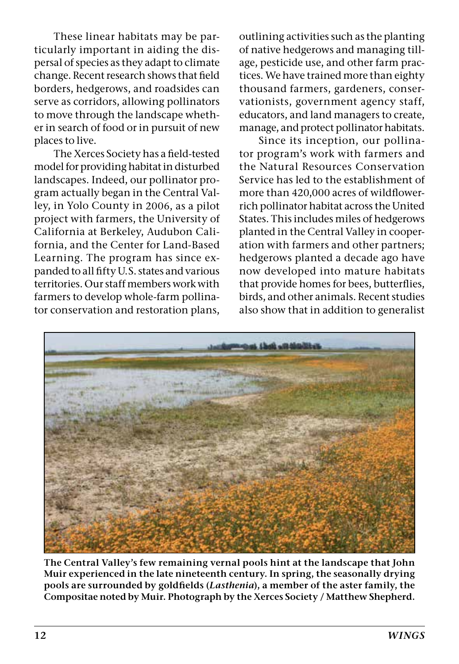These linear habitats may be particularly important in aiding the dispersal of species as they adapt to climate change. Recent research shows that field borders, hedgerows, and roadsides can serve as corridors, allowing pollinators to move through the landscape whether in search of food or in pursuit of new places to live.

The Xerces Society has a field-tested model for providing habitat in disturbed landscapes. Indeed, our pollinator program actually began in the Central Valley, in Yolo County in 2006, as a pilot project with farmers, the University of California at Berkeley, Audubon California, and the Center for Land-Based Learning. The program has since expanded to all fifty U.S. states and various territories. Our staff members work with farmers to develop whole-farm pollinator conservation and restoration plans,

outlining activities such as the planting of native hedgerows and managing tillage, pesticide use, and other farm practices. We have trained more than eighty thousand farmers, gardeners, conservationists, government agency staff, educators, and land managers to create, manage, and protect pollinator habitats.

Since its inception, our pollinator program's work with farmers and the Natural Resources Conservation Service has led to the establishment of more than 420,000 acres of wildflowerrich pollinator habitat across the United States. This includes miles of hedgerows planted in the Central Valley in cooperation with farmers and other partners; hedgerows planted a decade ago have now developed into mature habitats that provide homes for bees, butterflies, birds, and other animals. Recent studies also show that in addition to generalist



**The Central Valley's few remaining vernal pools hint at the landscape that John Muir experienced in the late nineteenth century. In spring, the seasonally drying pools are surrounded by goldfields (***Lasthenia***), a member of the aster family, the Compositae noted by Muir. Photograph by the Xerces Society / Matthew Shepherd.**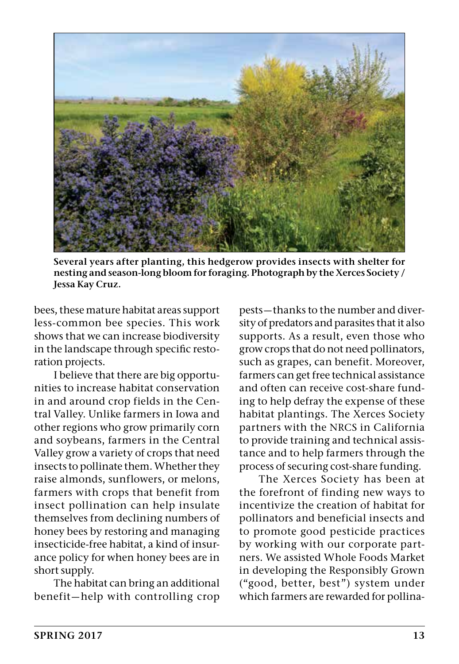

**Several years after planting, this hedgerow provides insects with shelter for nesting and season-long bloom for foraging. Photograph by the Xerces Society / Jessa Kay Cruz.**

bees, these mature habitat areas support less-common bee species. This work shows that we can increase biodiversity in the landscape through specific restoration projects.

I believe that there are big opportunities to increase habitat conservation in and around crop fields in the Central Valley. Unlike farmers in Iowa and other regions who grow primarily corn and soybeans, farmers in the Central Valley grow a variety of crops that need insects to pollinate them. Whether they raise almonds, sunflowers, or melons, farmers with crops that benefit from insect pollination can help insulate themselves from declining numbers of honey bees by restoring and managing insecticide-free habitat, a kind of insurance policy for when honey bees are in short supply.

The habitat can bring an additional benefit—help with controlling crop

pests—thanks to the number and diversity of predators and parasites that it also supports. As a result, even those who grow crops that do not need pollinators, such as grapes, can benefit. Moreover, farmers can get free technical assistance and often can receive cost-share funding to help defray the expense of these habitat plantings. The Xerces Society partners with the NRCS in California to provide training and technical assistance and to help farmers through the process of securing cost-share funding.

The Xerces Society has been at the forefront of finding new ways to incentivize the creation of habitat for pollinators and beneficial insects and to promote good pesticide practices by working with our corporate partners. We assisted Whole Foods Market in developing the Responsibly Grown ("good, better, best") system under which farmers are rewarded for pollina-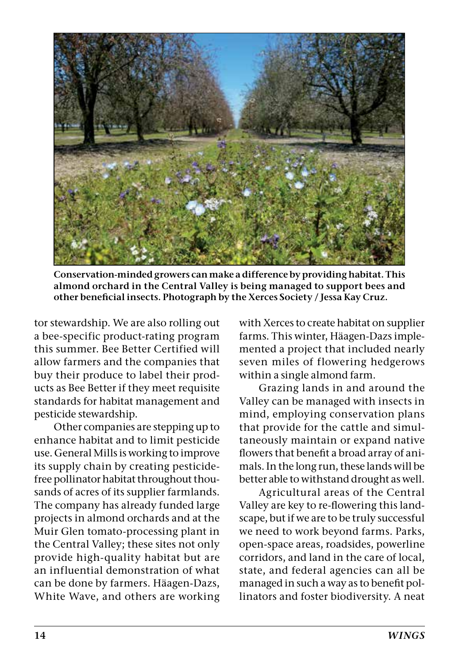

**Conservation-minded growers can make a difference by providing habitat. This almond orchard in the Central Valley is being managed to support bees and other beneficial insects. Photograph by the Xerces Society / Jessa Kay Cruz.**

tor stewardship. We are also rolling out a bee-specific product-rating program this summer. Bee Better Certified will allow farmers and the companies that buy their produce to label their products as Bee Better if they meet requisite standards for habitat management and pesticide stewardship.

Other companies are stepping up to enhance habitat and to limit pesticide use. General Mills is working to improve its supply chain by creating pesticidefree pollinator habitat throughout thousands of acres of its supplier farmlands. The company has already funded large projects in almond orchards and at the Muir Glen tomato-processing plant in the Central Valley; these sites not only provide high-quality habitat but are an influential demonstration of what can be done by farmers. Häagen-Dazs, White Wave, and others are working with Xerces to create habitat on supplier farms. This winter, Häagen-Dazs implemented a project that included nearly seven miles of flowering hedgerows within a single almond farm.

Grazing lands in and around the Valley can be managed with insects in mind, employing conservation plans that provide for the cattle and simultaneously maintain or expand native flowers that benefit a broad array of animals. In the long run, these lands will be better able to withstand drought as well.

Agricultural areas of the Central Valley are key to re-flowering this landscape, but if we are to be truly successful we need to work beyond farms. Parks, open-space areas, roadsides, powerline corridors, and land in the care of local, state, and federal agencies can all be managed in such a way as to benefit pollinators and foster biodiversity. A neat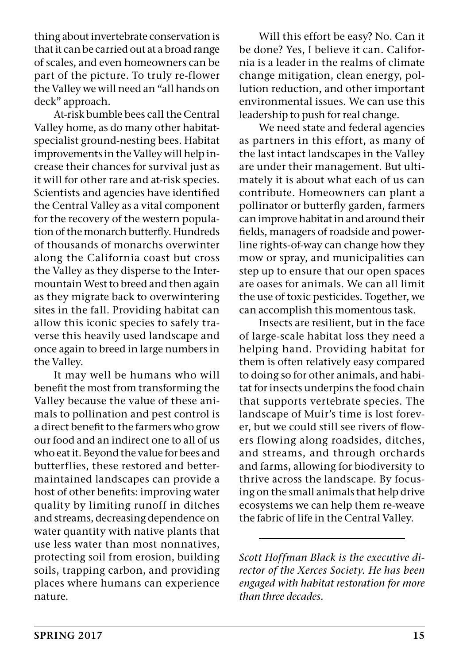thing about invertebrate conservation is that it can be carried out at a broad range of scales, and even homeowners can be part of the picture. To truly re-flower the Valley we will need an "all hands on deck" approach.

At-risk bumble bees call the Central Valley home, as do many other habitatspecialist ground-nesting bees. Habitat improvements in the Valley will help increase their chances for survival just as it will for other rare and at-risk species. Scientists and agencies have identified the Central Valley as a vital component for the recovery of the western population of the monarch butterfly. Hundreds of thousands of monarchs overwinter along the California coast but cross the Valley as they disperse to the Intermountain West to breed and then again as they migrate back to overwintering sites in the fall. Providing habitat can allow this iconic species to safely traverse this heavily used landscape and once again to breed in large numbers in the Valley.

It may well be humans who will benefit the most from transforming the Valley because the value of these animals to pollination and pest control is a direct benefit to the farmers who grow our food and an indirect one to all of us who eat it. Beyond the value for bees and butterflies, these restored and bettermaintained landscapes can provide a host of other benefits: improving water quality by limiting runoff in ditches and streams, decreasing dependence on water quantity with native plants that use less water than most nonnatives, protecting soil from erosion, building soils, trapping carbon, and providing places where humans can experience nature.

Will this effort be easy? No. Can it be done? Yes, I believe it can. California is a leader in the realms of climate change mitigation, clean energy, pollution reduction, and other important environmental issues. We can use this leadership to push for real change.

We need state and federal agencies as partners in this effort, as many of the last intact landscapes in the Valley are under their management. But ultimately it is about what each of us can contribute. Homeowners can plant a pollinator or butterfly garden, farmers can improve habitat in and around their fields, managers of roadside and powerline rights-of-way can change how they mow or spray, and municipalities can step up to ensure that our open spaces are oases for animals. We can all limit the use of toxic pesticides. Together, we can accomplish this momentous task.

Insects are resilient, but in the face of large-scale habitat loss they need a helping hand. Providing habitat for them is often relatively easy compared to doing so for other animals, and habitat for insects underpins the food chain that supports vertebrate species. The landscape of Muir's time is lost forever, but we could still see rivers of flowers flowing along roadsides, ditches, and streams, and through orchards and farms, allowing for biodiversity to thrive across the landscape. By focusing on the small animals that help drive ecosystems we can help them re-weave the fabric of life in the Central Valley.

*Scott Hoffman Black is the executive director of the Xerces Society. He has been engaged with habitat restoration for more than three decades.*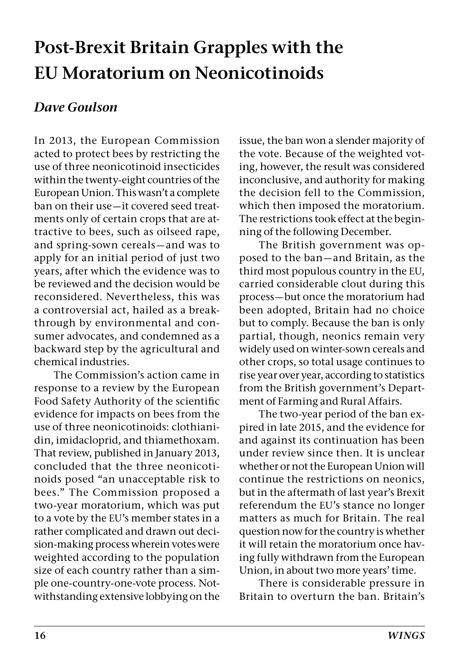### **Post-Brexit Britain Grapples with the EU Moratorium on Neonicotinoids**

#### *Dave Goulson*

In 2013, the European Commission acted to protect bees by restricting the use of three neonicotinoid insecticides within the twenty-eight countries of the European Union. This wasn't a complete ban on their use—it covered seed treatments only of certain crops that are attractive to bees, such as oilseed rape, and spring-sown cereals—and was to apply for an initial period of just two years, after which the evidence was to be reviewed and the decision would be reconsidered. Nevertheless, this was a controversial act, hailed as a breakthrough by environmental and consumer advocates, and condemned as a backward step by the agricultural and chemical industries.

The Commission's action came in response to a review by the European Food Safety Authority of the scientific evidence for impacts on bees from the use of three neonicotinoids: clothianidin, imidacloprid, and thiamethoxam. That review, published in January 2013, concluded that the three neonicotinoids posed "an unacceptable risk to bees." The Commission proposed a two-year moratorium, which was put to a vote by the EU's member states in a rather complicated and drawn out decision-making process wherein votes were weighted according to the population size of each country rather than a simple one-country-one-vote process. Notwithstanding extensive lobbying on the issue, the ban won a slender majority of the vote. Because of the weighted voting, however, the result was considered inconclusive, and authority for making the decision fell to the Commission, which then imposed the moratorium. The restrictions took effect at the beginning of the following December.

The British government was opposed to the ban—and Britain, as the third most populous country in the EU, carried considerable clout during this process—but once the moratorium had been adopted, Britain had no choice but to comply. Because the ban is only partial, though, neonics remain very widely used on winter-sown cereals and other crops, so total usage continues to rise year over year, according to statistics from the British government's Department of Farming and Rural Affairs.

The two-year period of the ban expired in late 2015, and the evidence for and against its continuation has been under review since then. It is unclear whether or not the European Union will continue the restrictions on neonics, but in the aftermath of last year's Brexit referendum the EU's stance no longer matters as much for Britain. The real question now for the country is whether it will retain the moratorium once having fully withdrawn from the European Union, in about two more years' time.

There is considerable pressure in Britain to overturn the ban. Britain's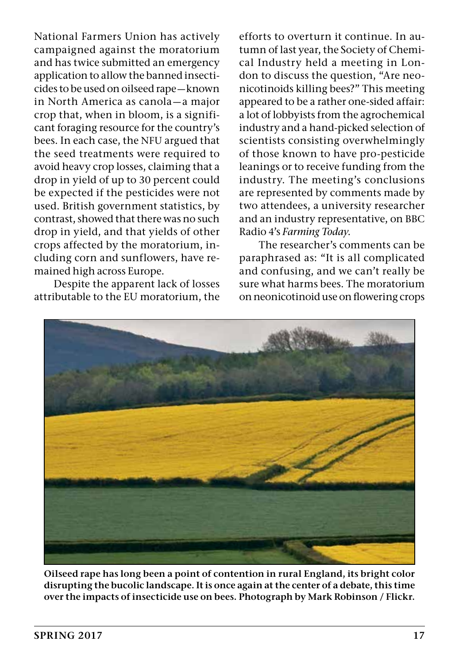National Farmers Union has actively campaigned against the moratorium and has twice submitted an emergency application to allow the banned insecticides to be used on oilseed rape—known in North America as canola—a major crop that, when in bloom, is a significant foraging resource for the country's bees. In each case, the NFU argued that the seed treatments were required to avoid heavy crop losses, claiming that a drop in yield of up to 30 percent could be expected if the pesticides were not used. British government statistics, by contrast, showed that there was no such drop in yield, and that yields of other crops affected by the moratorium, including corn and sunflowers, have remained high across Europe.

Despite the apparent lack of losses attributable to the EU moratorium, the efforts to overturn it continue. In autumn of last year, the Society of Chemical Industry held a meeting in London to discuss the question, "Are neonicotinoids killing bees?" This meeting appeared to be a rather one-sided affair: a lot of lobbyists from the agrochemical industry and a hand-picked selection of scientists consisting overwhelmingly of those known to have pro-pesticide leanings or to receive funding from the industry. The meeting's conclusions are represented by comments made by two attendees, a university researcher and an industry representative, on BBC Radio 4's *Farming Today*.

The researcher's comments can be paraphrased as: "It is all complicated and confusing, and we can't really be sure what harms bees. The moratorium on neonicotinoid use on flowering crops



**Oilseed rape has long been a point of contention in rural England, its bright color disrupting the bucolic landscape. It is once again at the center of a debate, this time over the impacts of insecticide use on bees. Photograph by Mark Robinson / Flickr.**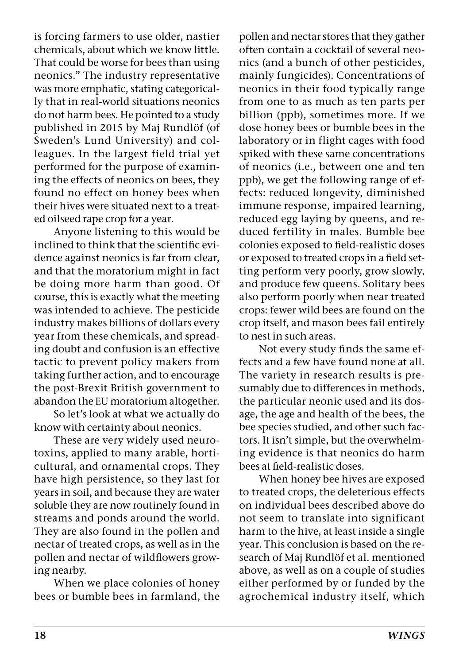is forcing farmers to use older, nastier chemicals, about which we know little. That could be worse for bees than using neonics." The industry representative was more emphatic, stating categorically that in real-world situations neonics do not harm bees. He pointed to a study published in 2015 by Maj Rundlöf (of Sweden's Lund University) and colleagues. In the largest field trial yet performed for the purpose of examining the effects of neonics on bees, they found no effect on honey bees when their hives were situated next to a treated oilseed rape crop for a year.

Anyone listening to this would be inclined to think that the scientific evidence against neonics is far from clear, and that the moratorium might in fact be doing more harm than good. Of course, this is exactly what the meeting was intended to achieve. The pesticide industry makes billions of dollars every year from these chemicals, and spreading doubt and confusion is an effective tactic to prevent policy makers from taking further action, and to encourage the post-Brexit British government to abandon the EU moratorium altogether.

So let's look at what we actually do know with certainty about neonics.

These are very widely used neurotoxins, applied to many arable, horticultural, and ornamental crops. They have high persistence, so they last for years in soil, and because they are water soluble they are now routinely found in streams and ponds around the world. They are also found in the pollen and nectar of treated crops, as well as in the pollen and nectar of wildflowers growing nearby.

When we place colonies of honey bees or bumble bees in farmland, the pollen and nectar stores that they gather often contain a cocktail of several neonics (and a bunch of other pesticides, mainly fungicides). Concentrations of neonics in their food typically range from one to as much as ten parts per billion (ppb), sometimes more. If we dose honey bees or bumble bees in the laboratory or in flight cages with food spiked with these same concentrations of neonics (i.e., between one and ten ppb), we get the following range of effects: reduced longevity, diminished immune response, impaired learning, reduced egg laying by queens, and reduced fertility in males. Bumble bee colonies exposed to field-realistic doses or exposed to treated crops in a field setting perform very poorly, grow slowly, and produce few queens. Solitary bees also perform poorly when near treated crops: fewer wild bees are found on the crop itself, and mason bees fail entirely to nest in such areas.

Not every study finds the same effects and a few have found none at all. The variety in research results is presumably due to differences in methods, the particular neonic used and its dosage, the age and health of the bees, the bee species studied, and other such factors. It isn't simple, but the overwhelming evidence is that neonics do harm bees at field-realistic doses.

When honey bee hives are exposed to treated crops, the deleterious effects on individual bees described above do not seem to translate into significant harm to the hive, at least inside a single year. This conclusion is based on the research of Maj Rundlöf et al. mentioned above, as well as on a couple of studies either performed by or funded by the agrochemical industry itself, which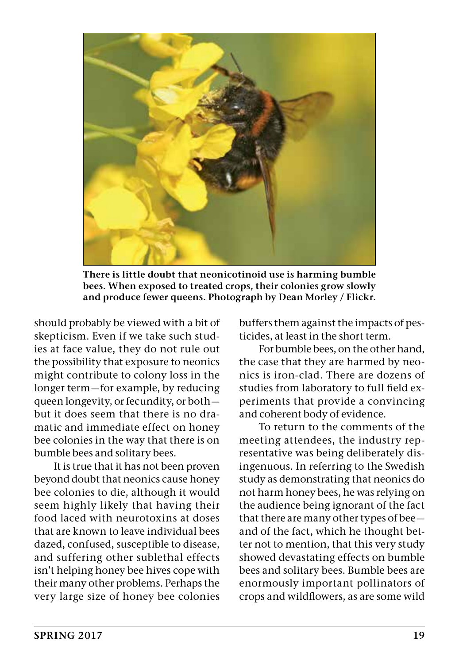

**There is little doubt that neonicotinoid use is harming bumble bees. When exposed to treated crops, their colonies grow slowly and produce fewer queens. Photograph by Dean Morley / Flickr.**

should probably be viewed with a bit of skepticism. Even if we take such studies at face value, they do not rule out the possibility that exposure to neonics might contribute to colony loss in the longer term—for example, by reducing queen longevity, or fecundity, or both but it does seem that there is no dramatic and immediate effect on honey bee colonies in the way that there is on bumble bees and solitary bees.

It is true that it has not been proven beyond doubt that neonics cause honey bee colonies to die, although it would seem highly likely that having their food laced with neurotoxins at doses that are known to leave individual bees dazed, confused, susceptible to disease, and suffering other sublethal effects isn't helping honey bee hives cope with their many other problems. Perhaps the very large size of honey bee colonies buffers them against the impacts of pesticides, at least in the short term.

For bumble bees, on the other hand, the case that they are harmed by neonics is iron-clad. There are dozens of studies from laboratory to full field experiments that provide a convincing and coherent body of evidence.

To return to the comments of the meeting attendees, the industry representative was being deliberately disingenuous. In referring to the Swedish study as demonstrating that neonics do not harm honey bees, he was relying on the audience being ignorant of the fact that there are many other types of bee and of the fact, which he thought better not to mention, that this very study showed devastating effects on bumble bees and solitary bees. Bumble bees are enormously important pollinators of crops and wildflowers, as are some wild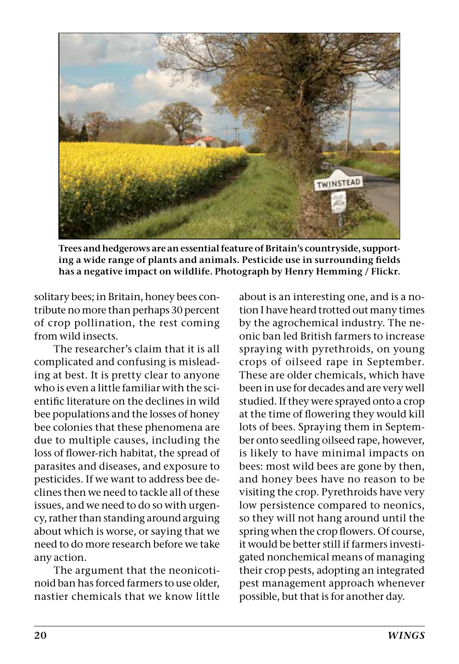

**Trees and hedgerows are an essential feature of Britain's countryside, supporting a wide range of plants and animals. Pesticide use in surrounding fields has a negative impact on wildlife. Photograph by Henry Hemming / Flickr.**

solitary bees; in Britain, honey bees contribute no more than perhaps 30 percent of crop pollination, the rest coming from wild insects.

The researcher's claim that it is all complicated and confusing is misleading at best. It is pretty clear to anyone who is even a little familiar with the scientific literature on the declines in wild bee populations and the losses of honey bee colonies that these phenomena are due to multiple causes, including the loss of flower-rich habitat, the spread of parasites and diseases, and exposure to pesticides. If we want to address bee declines then we need to tackle all of these issues, and we need to do so with urgency, rather than standing around arguing about which is worse, or saying that we need to do more research before we take any action.

The argument that the neonicotinoid ban has forced farmers to use older, nastier chemicals that we know little

about is an interesting one, and is a notion I have heard trotted out many times by the agrochemical industry. The neonic ban led British farmers to increase spraying with pyrethroids, on young crops of oilseed rape in September. These are older chemicals, which have been in use for decades and are very well studied. If they were sprayed onto a crop at the time of flowering they would kill lots of bees. Spraying them in September onto seedling oilseed rape, however, is likely to have minimal impacts on bees: most wild bees are gone by then, and honey bees have no reason to be visiting the crop. Pyrethroids have very low persistence compared to neonics, so they will not hang around until the spring when the crop flowers. Of course, it would be better still if farmers investigated nonchemical means of managing their crop pests, adopting an integrated pest management approach whenever possible, but that is for another day.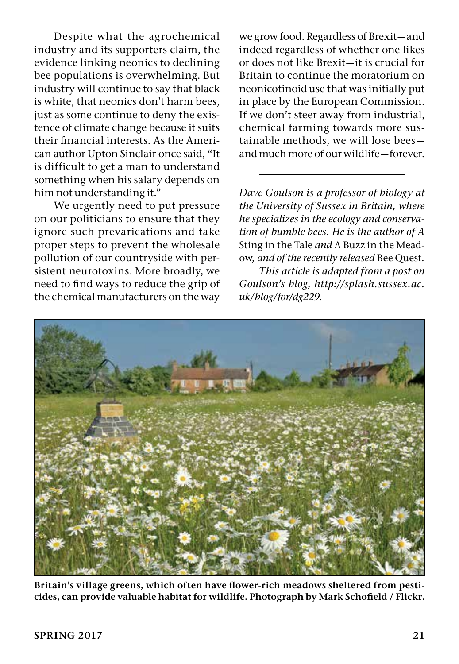Despite what the agrochemical industry and its supporters claim, the evidence linking neonics to declining bee populations is overwhelming. But industry will continue to say that black is white, that neonics don't harm bees, just as some continue to deny the existence of climate change because it suits their financial interests. As the American author Upton Sinclair once said, "It is difficult to get a man to understand something when his salary depends on him not understanding it."

We urgently need to put pressure on our politicians to ensure that they ignore such prevarications and take proper steps to prevent the wholesale pollution of our countryside with persistent neurotoxins. More broadly, we need to find ways to reduce the grip of the chemical manufacturers on the way

we grow food. Regardless of Brexit—and indeed regardless of whether one likes or does not like Brexit—it is crucial for Britain to continue the moratorium on neonicotinoid use that was initially put in place by the European Commission. If we don't steer away from industrial, chemical farming towards more sustainable methods, we will lose bees and much more of our wildlife—forever.

*Dave Goulson is a professor of biology at the University of Sussex in Britain, where he specializes in the ecology and conservation of bumble bees. He is the author of A* Sting in the Tale *and* A Buzz in the Meadow*, and of the recently released* Bee Quest*.*

*This article is adapted from a post on Goulson's blog, http://splash.sussex.ac. uk/blog/for/dg229.*



**Britain's village greens, which often have flower-rich meadows sheltered from pesticides, can provide valuable habitat for wildlife. Photograph by Mark Schofield / Flickr.**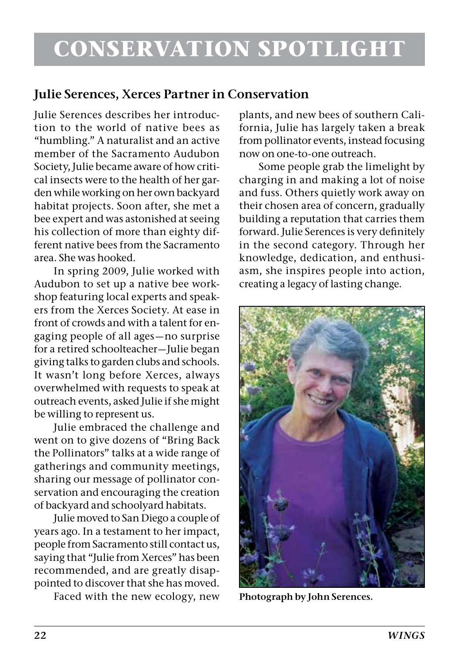#### **Julie Serences, Xerces Partner in Conservation**

Julie Serences describes her introduction to the world of native bees as "humbling." A naturalist and an active member of the Sacramento Audubon Society, Julie became aware of how critical insects were to the health of her garden while working on her own backyard habitat projects. Soon after, she met a bee expert and was astonished at seeing his collection of more than eighty different native bees from the Sacramento area. She was hooked.

In spring 2009, Julie worked with Audubon to set up a native bee workshop featuring local experts and speakers from the Xerces Society. At ease in front of crowds and with a talent for engaging people of all ages—no surprise for a retired schoolteacher—Julie began giving talks to garden clubs and schools. It wasn't long before Xerces, always overwhelmed with requests to speak at outreach events, asked Julie if she might be willing to represent us.

Julie embraced the challenge and went on to give dozens of "Bring Back the Pollinators" talks at a wide range of gatherings and community meetings, sharing our message of pollinator conservation and encouraging the creation of backyard and schoolyard habitats.

Julie moved to San Diego a couple of years ago. In a testament to her impact, people from Sacramento still contact us, saying that "Julie from Xerces" has been recommended, and are greatly disappointed to discover that she has moved.

Faced with the new ecology, new

plants, and new bees of southern California, Julie has largely taken a break from pollinator events, instead focusing now on one-to-one outreach.

Some people grab the limelight by charging in and making a lot of noise and fuss. Others quietly work away on their chosen area of concern, gradually building a reputation that carries them forward. Julie Serences is very definitely in the second category. Through her knowledge, dedication, and enthusiasm, she inspires people into action, creating a legacy of lasting change.



**Photograph by John Serences.**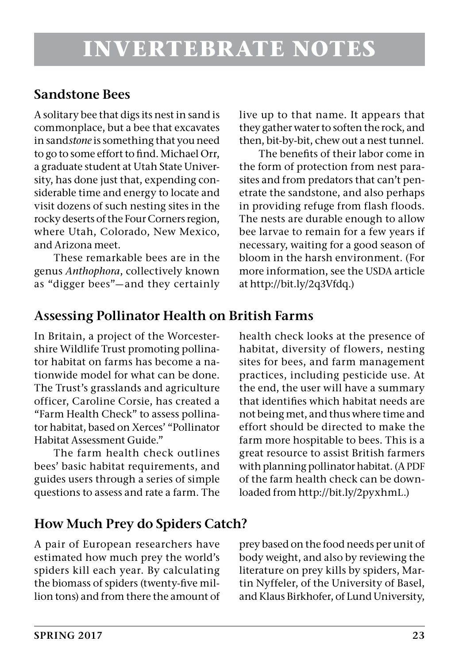#### **Sandstone Bees**

A solitary bee that digs its nest in sand is commonplace, but a bee that excavates in sand*stone* is something that you need to go to some effort to find. Michael Orr, a graduate student at Utah State University, has done just that, expending considerable time and energy to locate and visit dozens of such nesting sites in the rocky deserts of the Four Corners region, where Utah, Colorado, New Mexico, and Arizona meet.

These remarkable bees are in the genus *Anthophora*, collectively known as "digger bees"—and they certainly live up to that name. It appears that they gather water to soften the rock, and then, bit-by-bit, chew out a nest tunnel.

The benefits of their labor come in the form of protection from nest parasites and from predators that can't penetrate the sandstone, and also perhaps in providing refuge from flash floods. The nests are durable enough to allow bee larvae to remain for a few years if necessary, waiting for a good season of bloom in the harsh environment. (For more information, see the USDA article at http://bit.ly/2q3Vfdq.)

#### **Assessing Pollinator Health on British Farms**

In Britain, a project of the Worcestershire Wildlife Trust promoting pollinator habitat on farms has become a nationwide model for what can be done. The Trust's grasslands and agriculture officer, Caroline Corsie, has created a "Farm Health Check" to assess pollinator habitat, based on Xerces' "Pollinator Habitat Assessment Guide."

The farm health check outlines bees' basic habitat requirements, and guides users through a series of simple questions to assess and rate a farm. The health check looks at the presence of habitat, diversity of flowers, nesting sites for bees, and farm management practices, including pesticide use. At the end, the user will have a summary that identifies which habitat needs are not being met, and thus where time and effort should be directed to make the farm more hospitable to bees. This is a great resource to assist British farmers with planning pollinator habitat. (A PDF of the farm health check can be downloaded from http://bit.ly/2pyxhmL.)

#### **How Much Prey do Spiders Catch?**

A pair of European researchers have estimated how much prey the world's spiders kill each year. By calculating the biomass of spiders (twenty-five million tons) and from there the amount of prey based on the food needs per unit of body weight, and also by reviewing the literature on prey kills by spiders, Martin Nyffeler, of the University of Basel, and Klaus Birkhofer, of Lund University,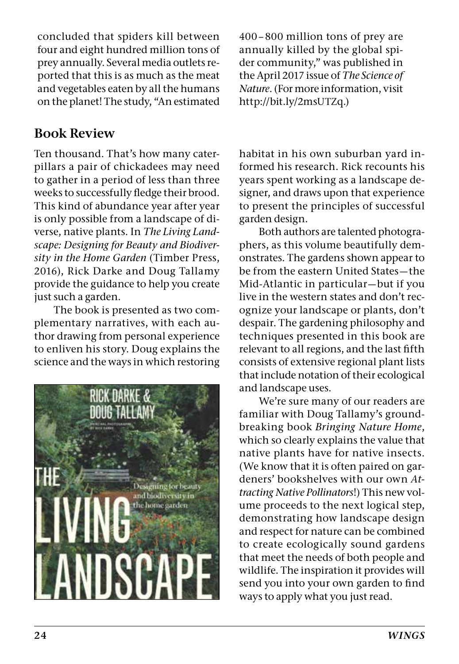concluded that spiders kill between four and eight hundred million tons of prey annually. Several media outlets reported that this is as much as the meat and vegetables eaten by all the humans on the planet! The study, "An estimated

#### **Book Review**

Ten thousand. That's how many caterpillars a pair of chickadees may need to gather in a period of less than three weeks to successfully fledge their brood. This kind of abundance year after year is only possible from a landscape of diverse, native plants. In *The Living Landscape: Designing for Beauty and Biodiversity in the Home Garden* (Timber Press, 2016), Rick Darke and Doug Tallamy provide the guidance to help you create just such a garden.

The book is presented as two complementary narratives, with each author drawing from personal experience to enliven his story. Doug explains the science and the ways in which restoring



400 – 800 million tons of prey are annually killed by the global spider community," was published in the April 2017 issue of *The Science of Nature*. (For more information, visit http://bit.ly/2msUTZq.)

habitat in his own suburban yard informed his research. Rick recounts his years spent working as a landscape designer, and draws upon that experience to present the principles of successful garden design.

Both authors are talented photographers, as this volume beautifully demonstrates. The gardens shown appear to be from the eastern United States—the Mid-Atlantic in particular—but if you live in the western states and don't recognize your landscape or plants, don't despair. The gardening philosophy and techniques presented in this book are relevant to all regions, and the last fifth consists of extensive regional plant lists that include notation of their ecological and landscape uses.

We're sure many of our readers are familiar with Doug Tallamy's groundbreaking book *Bringing Nature Home*, which so clearly explains the value that native plants have for native insects. (We know that it is often paired on gardeners' bookshelves with our own *Attracting Native Pollinators*!) This new volume proceeds to the next logical step, demonstrating how landscape design and respect for nature can be combined to create ecologically sound gardens that meet the needs of both people and wildlife. The inspiration it provides will send you into your own garden to find ways to apply what you just read.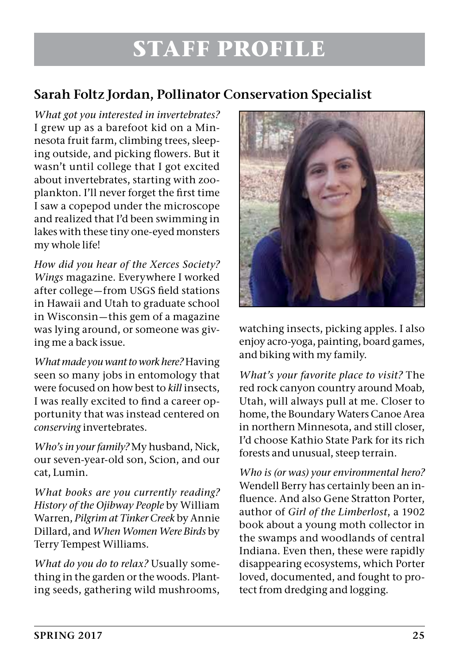## **STAFF PROFILE**

#### **Sarah Foltz Jordan, Pollinator Conservation Specialist**

*What got you interested in invertebrates?*  I grew up as a barefoot kid on a Minnesota fruit farm, climbing trees, sleeping outside, and picking flowers. But it wasn't until college that I got excited about invertebrates, starting with zooplankton. I'll never forget the first time I saw a copepod under the microscope and realized that I'd been swimming in lakes with these tiny one-eyed monsters my whole life!

*How did you hear of the Xerces Society? Wings* magazine. Everywhere I worked after college—from USGS field stations in Hawaii and Utah to graduate school in Wisconsin—this gem of a magazine was lying around, or someone was giving me a back issue.

*What made you want to work here?* Having seen so many jobs in entomology that were focused on how best to *kill* insects, I was really excited to find a career opportunity that was instead centered on *conserving* invertebrates.

*Who's in your family?* My husband, Nick, our seven-year-old son, Scion, and our cat, Lumin.

*What books are you currently reading? History of the Ojibway People* by William Warren, *Pilgrim at Tinker Creek* by Annie Dillard, and *When Women Were Birds* by Terry Tempest Williams.

*What do you do to relax?* Usually something in the garden or the woods. Planting seeds, gathering wild mushrooms,



watching insects, picking apples. I also enjoy acro-yoga, painting, board games, and biking with my family.

*What's your favorite place to visit?* The red rock canyon country around Moab, Utah, will always pull at me. Closer to home, the Boundary Waters Canoe Area in northern Minnesota, and still closer, I'd choose Kathio State Park for its rich forests and unusual, steep terrain.

*Who is (or was) your environmental hero?*  Wendell Berry has certainly been an influence. And also Gene Stratton Porter, author of *Girl of the Limberlost*, a 1902 book about a young moth collector in the swamps and woodlands of central Indiana. Even then, these were rapidly disappearing ecosystems, which Porter loved, documented, and fought to protect from dredging and logging.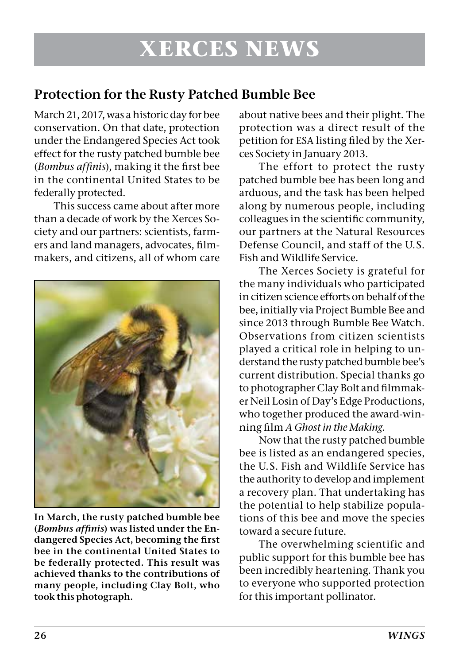#### **Protection for the Rusty Patched Bumble Bee**

March 21, 2017, was a historic day for bee conservation. On that date, protection under the Endangered Species Act took effect for the rusty patched bumble bee (*Bombus affinis*), making it the first bee in the continental United States to be federally protected.

This success came about after more than a decade of work by the Xerces Society and our partners: scientists, farmers and land managers, advocates, filmmakers, and citizens, all of whom care



**In March, the rusty patched bumble bee (***Bombus affinis***) was listed under the Endangered Species Act, becoming the first bee in the continental United States to be federally protected. This result was achieved thanks to the contributions of many people, including Clay Bolt, who took this photograph.**

about native bees and their plight. The protection was a direct result of the petition for ESA listing filed by the Xerces Society in January 2013.

The effort to protect the rusty patched bumble bee has been long and arduous, and the task has been helped along by numerous people, including colleagues in the scientific community, our partners at the Natural Resources Defense Council, and staff of the U.S. Fish and Wildlife Service.

The Xerces Society is grateful for the many individuals who participated in citizen science efforts on behalf of the bee, initially via Project Bumble Bee and since 2013 through Bumble Bee Watch. Observations from citizen scientists played a critical role in helping to understand the rusty patched bumble bee's current distribution. Special thanks go to photographer Clay Bolt and filmmaker Neil Losin of Day's Edge Productions, who together produced the award-winning film *A Ghost in the Making*.

Now that the rusty patched bumble bee is listed as an endangered species, the U.S. Fish and Wildlife Service has the authority to develop and implement a recovery plan. That undertaking has the potential to help stabilize populations of this bee and move the species toward a secure future.

The overwhelming scientific and public support for this bumble bee has been incredibly heartening. Thank you to everyone who supported protection for this important pollinator.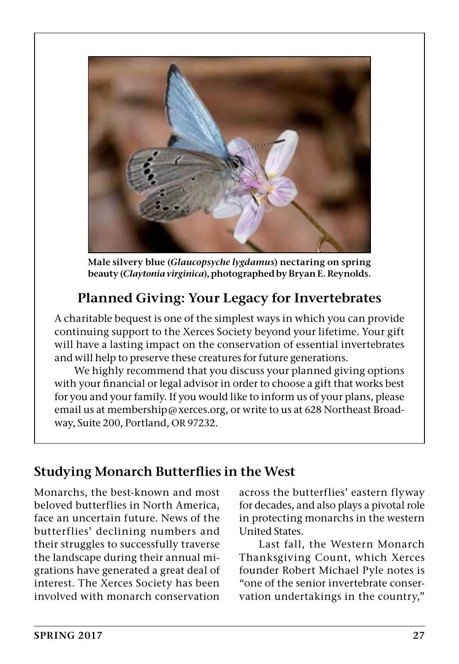

**Male silvery blue (***Glaucopsyche lygdamus***) nectaring on spring beauty (***Claytonia virginica***), photographed by Bryan E. Reynolds.**

### **Planned Giving: Your Legacy for Invertebrates**

A charitable bequest is one of the simplest ways in which you can provide continuing support to the Xerces Society beyond your lifetime. Your gift will have a lasting impact on the conservation of essential invertebrates and will help to preserve these creatures for future generations.

We highly recommend that you discuss your planned giving options with your financial or legal advisor in order to choose a gift that works best for you and your family. If you would like to inform us of your plans, please email us at membership@xerces.org, or write to us at 628 Northeast Broadway, Suite 200, Portland, OR 97232.

#### **Studying Monarch Butterflies in the West**

Monarchs, the best-known and most beloved butterflies in North America, face an uncertain future. News of the butterflies' declining numbers and their struggles to successfully traverse the landscape during their annual migrations have generated a great deal of interest. The Xerces Society has been involved with monarch conservation

across the butterflies' eastern flyway for decades, and also plays a pivotal role in protecting monarchs in the western United States.

Last fall, the Western Monarch Thanksgiving Count, which Xerces founder Robert Michael Pyle notes is "one of the senior invertebrate conservation undertakings in the country,"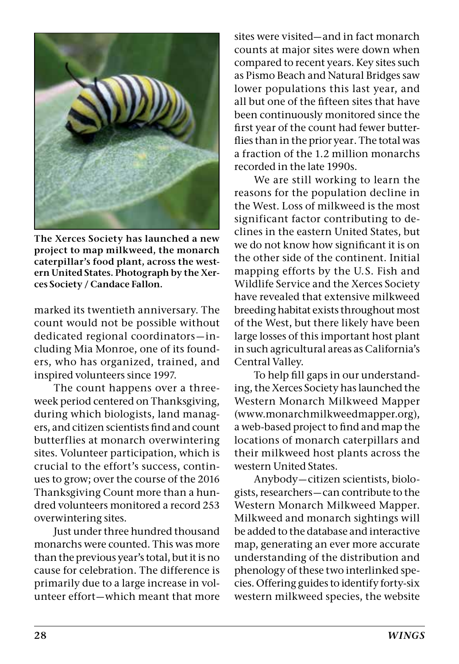

**The Xerces Society has launched a new project to map milkweed, the monarch caterpillar's food plant, across the western United States. Photograph by the Xerces Society / Candace Fallon.**

marked its twentieth anniversary. The count would not be possible without dedicated regional coordinators—including Mia Monroe, one of its founders, who has organized, trained, and inspired volunteers since 1997.

The count happens over a threeweek period centered on Thanksgiving, during which biologists, land managers, and citizen scientists find and count butterflies at monarch overwintering sites. Volunteer participation, which is crucial to the effort's success, continues to grow; over the course of the 2016 Thanksgiving Count more than a hundred volunteers monitored a record 253 overwintering sites.

Just under three hundred thousand monarchs were counted. This was more than the previous year's total, but it is no cause for celebration. The difference is primarily due to a large increase in volunteer effort—which meant that more

sites were visited—and in fact monarch counts at major sites were down when compared to recent years. Key sites such as Pismo Beach and Natural Bridges saw lower populations this last year, and all but one of the fifteen sites that have been continuously monitored since the first year of the count had fewer butterflies than in the prior year. The total was a fraction of the 1.2 million monarchs recorded in the late 1990s.

We are still working to learn the reasons for the population decline in the West. Loss of milkweed is the most significant factor contributing to declines in the eastern United States, but we do not know how significant it is on the other side of the continent. Initial mapping efforts by the U.S. Fish and Wildlife Service and the Xerces Society have revealed that extensive milkweed breeding habitat exists throughout most of the West, but there likely have been large losses of this important host plant in such agricultural areas as California's Central Valley.

To help fill gaps in our understanding, the Xerces Society has launched the Western Monarch Milkweed Mapper (www.monarchmilkweedmapper.org), a web-based project to find and map the locations of monarch caterpillars and their milkweed host plants across the western United States.

Anybody—citizen scientists, biologists, researchers—can contribute to the Western Monarch Milkweed Mapper. Milkweed and monarch sightings will be added to the database and interactive map, generating an ever more accurate understanding of the distribution and phenology of these two interlinked species. Offering guides to identify forty-six western milkweed species, the website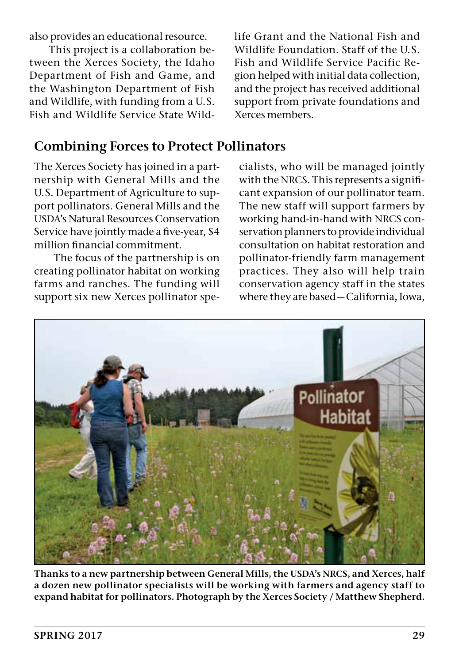also provides an educational resource.

This project is a collaboration between the Xerces Society, the Idaho Department of Fish and Game, and the Washington Department of Fish and Wildlife, with funding from a U.S. Fish and Wildlife Service State Wildlife Grant and the National Fish and Wildlife Foundation. Staff of the U.S. Fish and Wildlife Service Pacific Region helped with initial data collection, and the project has received additional support from private foundations and Xerces members.

#### **Combining Forces to Protect Pollinators**

The Xerces Society has joined in a partnership with General Mills and the U.S. Department of Agriculture to support pollinators. General Mills and the USDA's Natural Resources Conservation Service have jointly made a five-year, \$4 million financial commitment.

The focus of the partnership is on creating pollinator habitat on working farms and ranches. The funding will support six new Xerces pollinator specialists, who will be managed jointly with the NRCS. This represents a significant expansion of our pollinator team. The new staff will support farmers by working hand-in-hand with NRCS conservation planners to provide individual consultation on habitat restoration and pollinator-friendly farm management practices. They also will help train conservation agency staff in the states where they are based—California, Iowa,



**Thanks to a new partnership between General Mills, the USDA's NRCS, and Xerces, half a dozen new pollinator specialists will be working with farmers and agency staff to expand habitat for pollinators. Photograph by the Xerces Society / Matthew Shepherd.**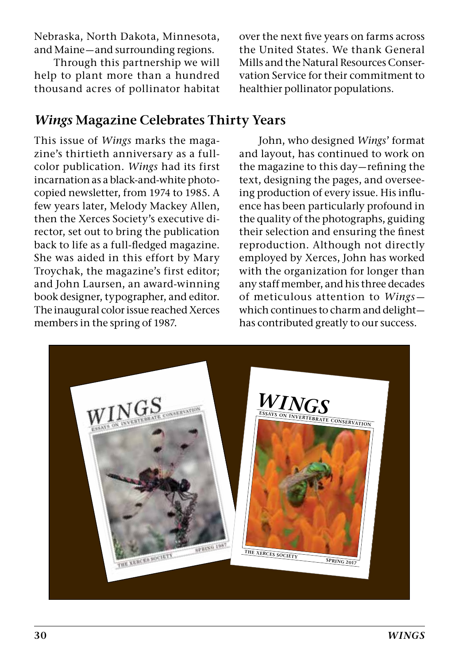Nebraska, North Dakota, Minnesota, and Maine—and surrounding regions.

Through this partnership we will help to plant more than a hundred thousand acres of pollinator habitat

#### *Wings* **Magazine Celebrates Thirty Years**

This issue of *Wings* marks the magazine's thirtieth anniversary as a fullcolor publication. *Wings* had its first incarnation as a black-and-white photocopied newsletter, from 1974 to 1985. A few years later, Melody Mackey Allen, then the Xerces Society's executive director, set out to bring the publication back to life as a full-fledged magazine. She was aided in this effort by Mary Troychak, the magazine's first editor; and John Laursen, an award-winning book designer, typographer, and editor. The inaugural color issue reached Xerces members in the spring of 1987.

over the next five years on farms across the United States. We thank General Mills and the Natural Resources Conservation Service for their commitment to healthier pollinator populations.

John, who designed *Wings*' format and layout, has continued to work on the magazine to this day—refining the text, designing the pages, and overseeing production of every issue. His influence has been particularly profound in the quality of the photographs, guiding their selection and ensuring the finest reproduction. Although not directly employed by Xerces, John has worked with the organization for longer than any staff member, and his three decades of meticulous attention to *Wings* which continues to charm and delight has contributed greatly to our success.

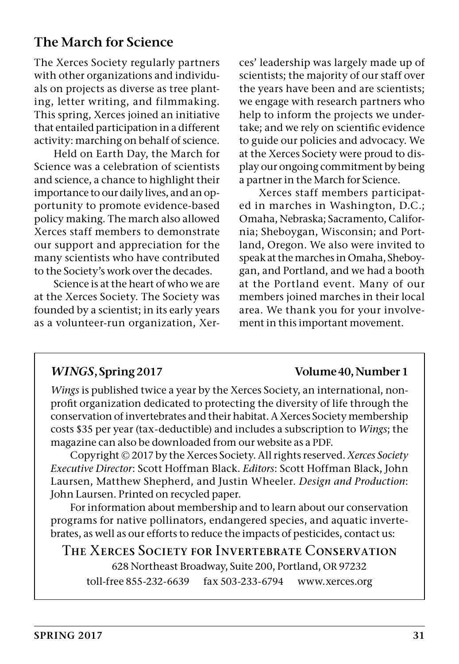#### **The March for Science**

The Xerces Society regularly partners with other organizations and individuals on projects as diverse as tree planting, letter writing, and filmmaking. This spring, Xerces joined an initiative that entailed participation in a different activity: marching on behalf of science.

Held on Earth Day, the March for Science was a celebration of scientists and science, a chance to highlight their importance to our daily lives, and an opportunity to promote evidence-based policy making. The march also allowed Xerces staff members to demonstrate our support and appreciation for the many scientists who have contributed to the Society's work over the decades.

Science is at the heart of who we are at the Xerces Society. The Society was founded by a scientist; in its early years as a volunteer-run organization, Xerces' leadership was largely made up of scientists; the majority of our staff over the years have been and are scientists; we engage with research partners who help to inform the projects we undertake; and we rely on scientific evidence to guide our policies and advocacy. We at the Xerces Society were proud to display our ongoing commitment by being a partner in the March for Science.

Xerces staff members participated in marches in Washington, D.C.; Omaha, Nebraska; Sacramento, California; Sheboygan, Wisconsin; and Portland, Oregon. We also were invited to speak at the marches in Omaha, Sheboygan, and Portland, and we had a booth at the Portland event. Many of our members joined marches in their local area. We thank you for your involvement in this important movement.

#### *WINGS***, Spring 2017 Volume 40, Number 1**

*Wings* is published twice a year by the Xerces Society, an international, nonprofit organization dedicated to protecting the diversity of life through the conservation of invertebrates and their habitat. A Xerces Society membership costs \$35 per year (tax-deductible) and includes a subscription to *Wings*; the magazine can also be downloaded from our website as a PDF.

Copyright © 2017 by the Xerces Society. All rights reserved. *Xerces Society Executive Director*: Scott Hoffman Black. *Editors*: Scott Hoffman Black, John Laursen, Matthew Shepherd, and Justin Wheeler. *Design and Production*: John Laursen. Printed on recycled paper.

For information about membership and to learn about our conservation programs for native pollinators, endangered species, and aquatic invertebrates, as well as our efforts to reduce the impacts of pesticides, contact us:

#### T**HE** X**ERCES** S**OCIETY FOR** I**NVERTEBRATE** C**ONSERVATION**

628 Northeast Broadway, Suite 200, Portland, OR 97232 toll-free 855-232-6639 fax 503-233-6794 www.xerces.org